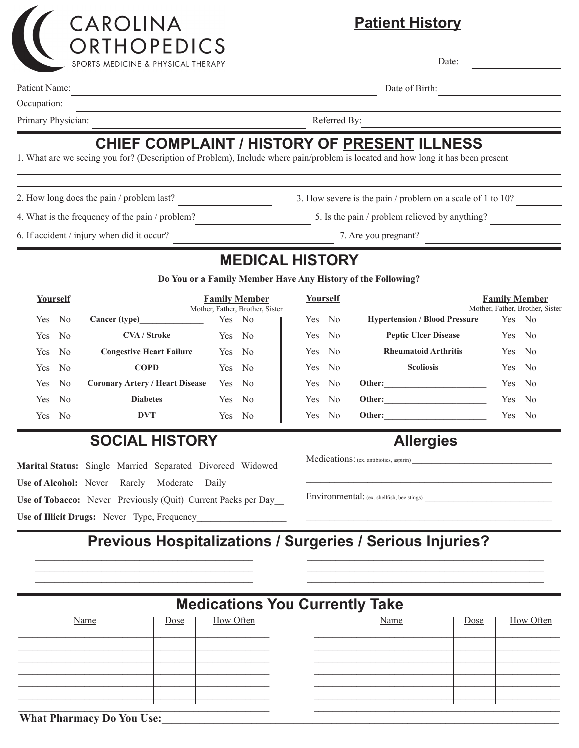

**Patient History**

Date:

Date of Birth:

Patient Name:

Occupation:

Primary Physician: Referred By:

# **CHIEF COMPLAINT / HISTORY OF PRESENT ILLNESS**

1. What are we seeing you for? (Description of Problem), Include where pain/problem is located and how long it has been present

<u> 1989 - Johann Barn, mars ann an t-Amhain Aonaich an t-Aonaich an t-Aonaich ann an t-Aonaich ann an t-Aonaich</u>

2. How long does the pain / problem last? <br>3. How severe is the pain / problem on a scale of 1 to 10?

4. What is the frequency of the pain / problem? 5. Is the pain / problem relieved by anything? 6. If accident / injury when did it occur?

7. Are you pregnant?

## **MEDICAL HISTORY**

**Do You or a Family Member Have Any History of the Following?**

| Yourself |      | <b>Family Member</b><br>Mother, Father, Brother, Sister |        |                |
|----------|------|---------------------------------------------------------|--------|----------------|
| Yes No   |      | Cancer (type)                                           | Yes No |                |
| Yes No   |      | <b>CVA/Stroke</b>                                       | Yes No |                |
| Yes No   |      | <b>Congestive Heart Failure</b>                         | Yes No |                |
| Yes No   |      | <b>COPD</b>                                             | Yes No |                |
| Yes.     | - No | <b>Coronary Artery / Heart Disease</b>                  | Yes No |                |
| Yes.     | - No | <b>Diabetes</b>                                         | Yes.   | - No           |
| Yes.     | - No | DVT                                                     | Yes.   | N <sub>0</sub> |

| Yourself |  |                                      | <b>Family Member</b>            |  |  |  |
|----------|--|--------------------------------------|---------------------------------|--|--|--|
|          |  |                                      | Mother, Father, Brother, Sister |  |  |  |
| Yes No   |  | <b>Hypertension / Blood Pressure</b> | Yes No                          |  |  |  |
| Yes No   |  | <b>Peptic Ulcer Disease</b>          | Yes No                          |  |  |  |
| Yes No   |  | <b>Rheumatoid Arthritis</b>          | Yes No                          |  |  |  |
| Yes No   |  | <b>Scoliosis</b>                     | Yes No                          |  |  |  |
| Yes No   |  | Other:                               | Yes No                          |  |  |  |
| Yes No   |  |                                      | Yes No                          |  |  |  |
| Yes No   |  |                                      | Yes No                          |  |  |  |
|          |  |                                      |                                 |  |  |  |

### **SOCIAL HISTORY**

**Marital Status:** Single Married Separated Divorced Widowed **Use of Alcohol:** Never Rarely Moderate Daily **Use of Tobacco:** Never Previously (Quit) Current Packs per Day\_\_ **Use of Illicit Drugs:** Never Type, Frequency

**Allergies**

\_\_\_\_\_\_\_\_\_\_\_\_\_\_\_\_\_\_\_\_\_\_\_\_\_\_\_\_\_\_\_\_\_\_\_\_\_\_\_\_\_\_\_\_\_\_\_\_\_\_\_\_

\_\_\_\_\_\_\_\_\_\_\_\_\_\_\_\_\_\_\_\_\_\_\_\_\_\_\_\_\_\_\_\_\_\_\_\_\_\_\_\_\_\_\_\_\_\_\_\_\_\_\_\_\_

Medications: (ex. antibiotics, aspirin)

Environmental: (ex. shellfish, bee stings)

#### **Previous Hospitalizations / Surgeries / Serious Injuries?**  $\mathcal{L}_\mathcal{L} = \{ \mathcal{L}_\mathcal{L} = \{ \mathcal{L}_\mathcal{L} = \{ \mathcal{L}_\mathcal{L} = \{ \mathcal{L}_\mathcal{L} = \{ \mathcal{L}_\mathcal{L} = \{ \mathcal{L}_\mathcal{L} = \{ \mathcal{L}_\mathcal{L} = \{ \mathcal{L}_\mathcal{L} = \{ \mathcal{L}_\mathcal{L} = \{ \mathcal{L}_\mathcal{L} = \{ \mathcal{L}_\mathcal{L} = \{ \mathcal{L}_\mathcal{L} = \{ \mathcal{L}_\mathcal{L} = \{ \mathcal{L}_\mathcal{$

 $\mathcal{L}_\mathcal{L} = \{ \mathcal{L}_\mathcal{L} = \{ \mathcal{L}_\mathcal{L} = \{ \mathcal{L}_\mathcal{L} = \{ \mathcal{L}_\mathcal{L} = \{ \mathcal{L}_\mathcal{L} = \{ \mathcal{L}_\mathcal{L} = \{ \mathcal{L}_\mathcal{L} = \{ \mathcal{L}_\mathcal{L} = \{ \mathcal{L}_\mathcal{L} = \{ \mathcal{L}_\mathcal{L} = \{ \mathcal{L}_\mathcal{L} = \{ \mathcal{L}_\mathcal{L} = \{ \mathcal{L}_\mathcal{L} = \{ \mathcal{L}_\mathcal{$ 

| <b>Medications You Currently Take</b> |      |           |  |      |      |           |
|---------------------------------------|------|-----------|--|------|------|-----------|
| Name                                  | Dose | How Often |  | Name | Dose | How Often |
|                                       |      |           |  |      |      |           |
|                                       |      |           |  |      |      |           |
|                                       |      |           |  |      |      |           |
|                                       |      |           |  |      |      |           |

#### What Pharmacy Do You Use: